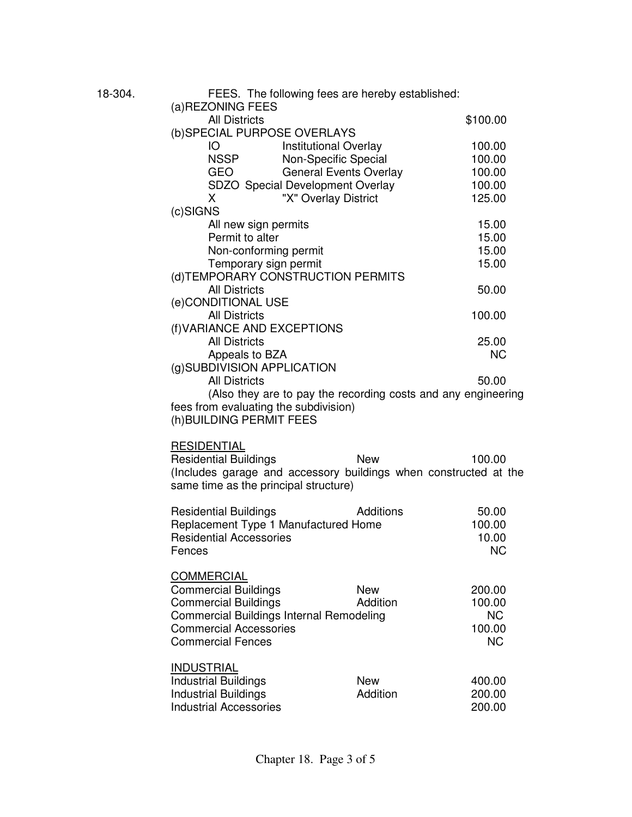| 18-304. | FEES. The following fees are hereby established:<br>(a) REZONING FEES                                                                                                                           |                        |                                                      |  |
|---------|-------------------------------------------------------------------------------------------------------------------------------------------------------------------------------------------------|------------------------|------------------------------------------------------|--|
|         | <b>All Districts</b><br>(b) SPECIAL PURPOSE OVERLAYS                                                                                                                                            | \$100.00               |                                                      |  |
|         | IO<br><b>Institutional Overlay</b><br><b>NSSP</b><br>Non-Specific Special<br>GEO<br><b>General Events Overlay</b><br>SDZO Special Development Overlay                                           |                        | 100.00<br>100.00<br>100.00<br>100.00                 |  |
|         | "X" Overlay District<br>X<br>(c)SIGNS                                                                                                                                                           |                        | 125.00                                               |  |
|         | All new sign permits<br>Permit to alter<br>Non-conforming permit<br>Temporary sign permit                                                                                                       |                        | 15.00<br>15.00<br>15.00<br>15.00                     |  |
|         | (d) TEMPORARY CONSTRUCTION PERMITS<br><b>All Districts</b><br>(e)CONDITIONAL USE                                                                                                                |                        | 50.00                                                |  |
|         | <b>All Districts</b><br>(f) VARIANCE AND EXCEPTIONS                                                                                                                                             | 100.00                 |                                                      |  |
|         | <b>All Districts</b><br>Appeals to BZA<br>(g)SUBDIVISION APPLICATION                                                                                                                            | 25.00<br><b>NC</b>     |                                                      |  |
|         | <b>All Districts</b><br>50.00<br>(Also they are to pay the recording costs and any engineering<br>fees from evaluating the subdivision)<br>(h) BUILDING PERMIT FEES                             |                        |                                                      |  |
|         | <b>RESIDENTIAL</b><br><b>Residential Buildings</b><br>(Includes garage and accessory buildings when constructed at the<br>same time as the principal structure)                                 | <b>New</b>             | 100.00                                               |  |
|         | <b>Residential Buildings</b><br>Replacement Type 1 Manufactured Home<br><b>Residential Accessories</b><br>Fences                                                                                | <b>Additions</b>       | 50.00<br>100.00<br>10.00<br><b>NC</b>                |  |
|         | <b>COMMERCIAL</b><br><b>Commercial Buildings</b><br><b>Commercial Buildings</b><br><b>Commercial Buildings Internal Remodeling</b><br><b>Commercial Accessories</b><br><b>Commercial Fences</b> | <b>New</b><br>Addition | 200.00<br>100.00<br><b>NC</b><br>100.00<br><b>NC</b> |  |
|         | <b>INDUSTRIAL</b><br><b>Industrial Buildings</b><br><b>Industrial Buildings</b><br><b>Industrial Accessories</b>                                                                                | <b>New</b><br>Addition | 400.00<br>200.00<br>200.00                           |  |